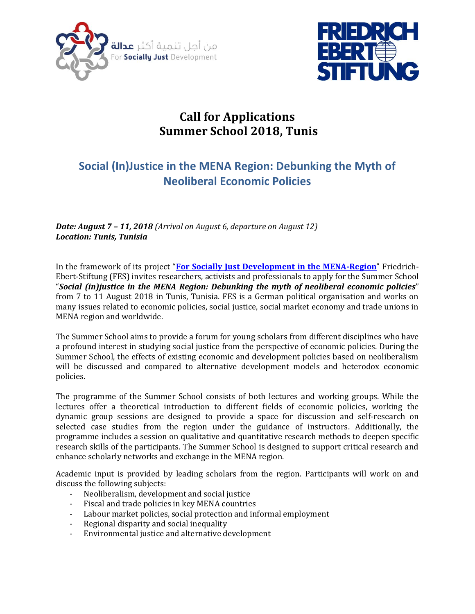



# **Call for Applications Summer School 2018, Tunis**

# **Social (In)Justice in the MENA Region: Debunking the Myth of Neoliberal Economic Policies**

*Date: August 7 – 11, 2018 (Arrival on August 6, departure on August 12) Location: Tunis, Tunisia*

In the framework of its project "**[For Socially Just Development in the MENA-Region](http://www.fes-mena.org/topics/economic-policies-for-social-justice/)**" Friedrich-Ebert-Stiftung (FES) invites researchers, activists and professionals to apply for the Summer School "*Social (in)justice in the MENA Region: Debunking the myth of neoliberal economic policies*" from 7 to 11 August 2018 in Tunis, Tunisia. FES is a German political organisation and works on many issues related to economic policies, social justice, social market economy and trade unions in MENA region and worldwide.

The Summer School aims to provide a forum for young scholars from different disciplines who have a profound interest in studying social justice from the perspective of economic policies. During the Summer School, the effects of existing economic and development policies based on neoliberalism will be discussed and compared to alternative development models and heterodox economic policies.

The programme of the Summer School consists of both lectures and working groups. While the lectures offer a theoretical introduction to different fields of economic policies, working the dynamic group sessions are designed to provide a space for discussion and self-research on selected case studies from the region under the guidance of instructors. Additionally, the programme includes a session on qualitative and quantitative research methods to deepen specific research skills of the participants. The Summer School is designed to support critical research and enhance scholarly networks and exchange in the MENA region.

Academic input is provided by leading scholars from the region. Participants will work on and discuss the following subjects:

- Neoliberalism, development and social justice
- Fiscal and trade policies in key MENA countries
- Labour market policies, social protection and informal employment
- Regional disparity and social inequality
- Environmental justice and alternative development